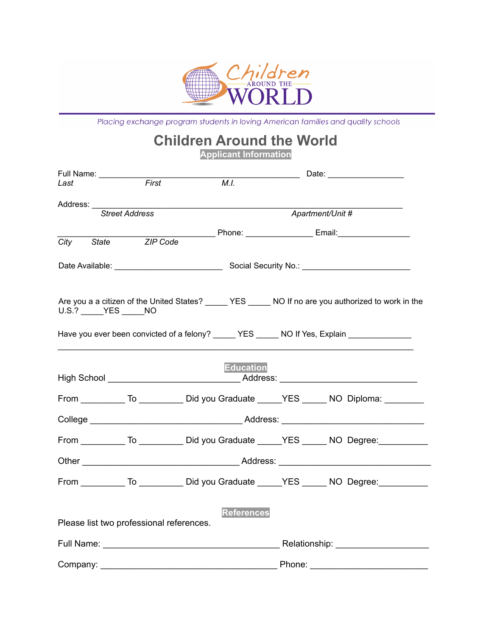

Placing exchange program students in loving American families and quality schools

## **Children Around the World**

**Applicant Information**

| Full Name: __________                    |                       |                   |        |                                                                                                      |  |
|------------------------------------------|-----------------------|-------------------|--------|------------------------------------------------------------------------------------------------------|--|
| Last                                     | First                 | $\overline{M.I.}$ |        |                                                                                                      |  |
| Address: _____                           |                       |                   |        |                                                                                                      |  |
|                                          | <b>Street Address</b> |                   |        | Apartment/Unit #                                                                                     |  |
| City<br>State                            | ZIP Code              |                   |        | ________________Phone: _________________________Email: _________________________                     |  |
|                                          |                       |                   |        |                                                                                                      |  |
|                                          |                       |                   |        |                                                                                                      |  |
|                                          |                       |                   |        |                                                                                                      |  |
|                                          |                       |                   |        | Are you a a citizen of the United States? _____ YES _____ NO If no are you authorized to work in the |  |
| $U.S.?$ YES NO                           |                       |                   |        |                                                                                                      |  |
|                                          |                       |                   |        | Have you ever been convicted of a felony? YES NO If Yes, Explain                                     |  |
|                                          |                       |                   |        |                                                                                                      |  |
|                                          |                       | <b>Education</b>  |        |                                                                                                      |  |
|                                          |                       |                   |        |                                                                                                      |  |
|                                          |                       |                   |        | From ___________ To _____________ Did you Graduate ______YES ______ NO Diploma: __________           |  |
|                                          |                       |                   |        |                                                                                                      |  |
|                                          |                       |                   |        | From To Did you Graduate YES NO Degree:                                                              |  |
|                                          |                       |                   |        |                                                                                                      |  |
|                                          |                       |                   |        |                                                                                                      |  |
|                                          |                       |                   |        | From ____________ To _____________ Did you Graduate ______YES _______ NO Degree: ___________         |  |
|                                          |                       |                   |        |                                                                                                      |  |
| Please list two professional references. |                       | <b>References</b> |        |                                                                                                      |  |
|                                          |                       |                   |        |                                                                                                      |  |
|                                          |                       |                   |        |                                                                                                      |  |
| Company:                                 |                       |                   | Phone: |                                                                                                      |  |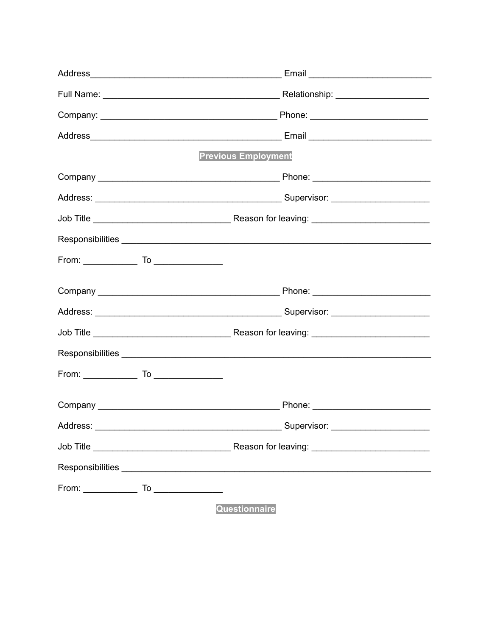|          | <b>Previous Employment</b> |
|----------|----------------------------|
|          |                            |
|          |                            |
|          |                            |
|          |                            |
|          |                            |
|          |                            |
|          |                            |
|          |                            |
|          |                            |
|          |                            |
|          |                            |
| Address: |                            |
|          |                            |
|          |                            |
|          |                            |
|          | Questionnaire              |